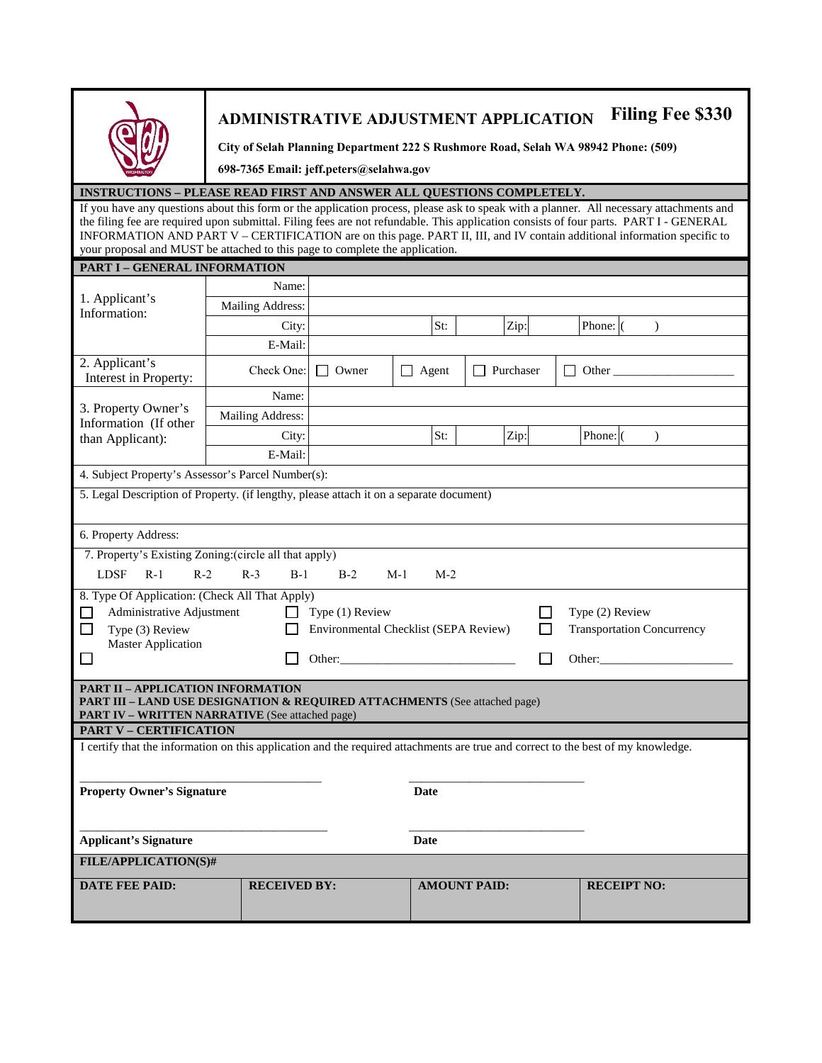

## **ADMINISTRATIVE ADJUSTMENT APPLICATION Filing Fee \$330**

**City of Selah Planning Department 222 S Rushmore Road, Selah WA 98942 Phone: (509)**

**698-7365 Email: jeff.peters@selahwa.gov**

### **INSTRUCTIONS – PLEASE READ FIRST AND ANSWER ALL QUESTIONS COMPLETELY.**

If you have any questions about this form or the application process, please ask to speak with a planner. All necessary attachments and the filing fee are required upon submittal. Filing fees are not refundable. This application consists of four parts. PART I - GENERAL INFORMATION AND PART V – CERTIFICATION are on this page. PART II, III, and IV contain additional information specific to your proposal and MUST be attached to this page to complete the application.

| PART I - GENERAL INFORMATION                                                                                                                                              |                                                                    |                                      |                     |                                                                |                           |  |
|---------------------------------------------------------------------------------------------------------------------------------------------------------------------------|--------------------------------------------------------------------|--------------------------------------|---------------------|----------------------------------------------------------------|---------------------------|--|
|                                                                                                                                                                           | Name:                                                              |                                      |                     |                                                                |                           |  |
| 1. Applicant's<br>Information:                                                                                                                                            | Mailing Address:                                                   |                                      |                     |                                                                |                           |  |
|                                                                                                                                                                           | City:                                                              |                                      | St:                 | Zip:                                                           | Phone: (<br>$\mathcal{L}$ |  |
|                                                                                                                                                                           | E-Mail:                                                            |                                      |                     |                                                                |                           |  |
| 2. Applicant's<br>Interest in Property:                                                                                                                                   | Check One:                                                         | $\Box$ Owner                         | $\Box$ Agent        | Purchaser<br>$\Box$                                            | $\Box$ Other $\Box$       |  |
|                                                                                                                                                                           | Name:                                                              |                                      |                     |                                                                |                           |  |
| 3. Property Owner's<br>Information (If other                                                                                                                              | Mailing Address:                                                   |                                      |                     |                                                                |                           |  |
| than Applicant):                                                                                                                                                          | City:                                                              | Zip:<br>Phone: (<br>St:<br>$\lambda$ |                     |                                                                |                           |  |
|                                                                                                                                                                           | E-Mail:                                                            |                                      |                     |                                                                |                           |  |
| 4. Subject Property's Assessor's Parcel Number(s):                                                                                                                        |                                                                    |                                      |                     |                                                                |                           |  |
| 5. Legal Description of Property. (if lengthy, please attach it on a separate document)                                                                                   |                                                                    |                                      |                     |                                                                |                           |  |
|                                                                                                                                                                           |                                                                    |                                      |                     |                                                                |                           |  |
| 6. Property Address:                                                                                                                                                      |                                                                    |                                      |                     |                                                                |                           |  |
| 7. Property's Existing Zoning: (circle all that apply)                                                                                                                    |                                                                    |                                      |                     |                                                                |                           |  |
| <b>LDSF</b><br>$R-1$<br>$R-2$                                                                                                                                             | $R-3$<br>$B-1$                                                     | $B-2$                                | $M-1$<br>$M-2$      |                                                                |                           |  |
| 8. Type Of Application: (Check All That Apply)<br>Administrative Adjustment<br>П<br>Type (3) Review<br><b>Master Application</b><br>$\Box$                                | Type (1) Review<br>Environmental Checklist (SEPA Review)<br>Other: |                                      |                     | Type (2) Review<br><b>Transportation Concurrency</b><br>Other: |                           |  |
| <b>PART II - APPLICATION INFORMATION</b><br>PART III - LAND USE DESIGNATION & REQUIRED ATTACHMENTS (See attached page)<br>PART IV - WRITTEN NARRATIVE (See attached page) |                                                                    |                                      |                     |                                                                |                           |  |
| <b>PART V - CERTIFICATION</b>                                                                                                                                             |                                                                    |                                      |                     |                                                                |                           |  |
| I certify that the information on this application and the required attachments are true and correct to the best of my knowledge.<br><b>Property Owner's Signature</b>    |                                                                    |                                      | <b>Date</b>         |                                                                |                           |  |
| <b>Applicant's Signature</b>                                                                                                                                              |                                                                    |                                      | <b>Date</b>         |                                                                |                           |  |
| <b>FILE/APPLICATION(S)#</b>                                                                                                                                               |                                                                    |                                      |                     |                                                                |                           |  |
| <b>DATE FEE PAID:</b>                                                                                                                                                     | <b>RECEIVED BY:</b>                                                |                                      | <b>AMOUNT PAID:</b> |                                                                | <b>RECEIPT NO:</b>        |  |
|                                                                                                                                                                           |                                                                    |                                      |                     |                                                                |                           |  |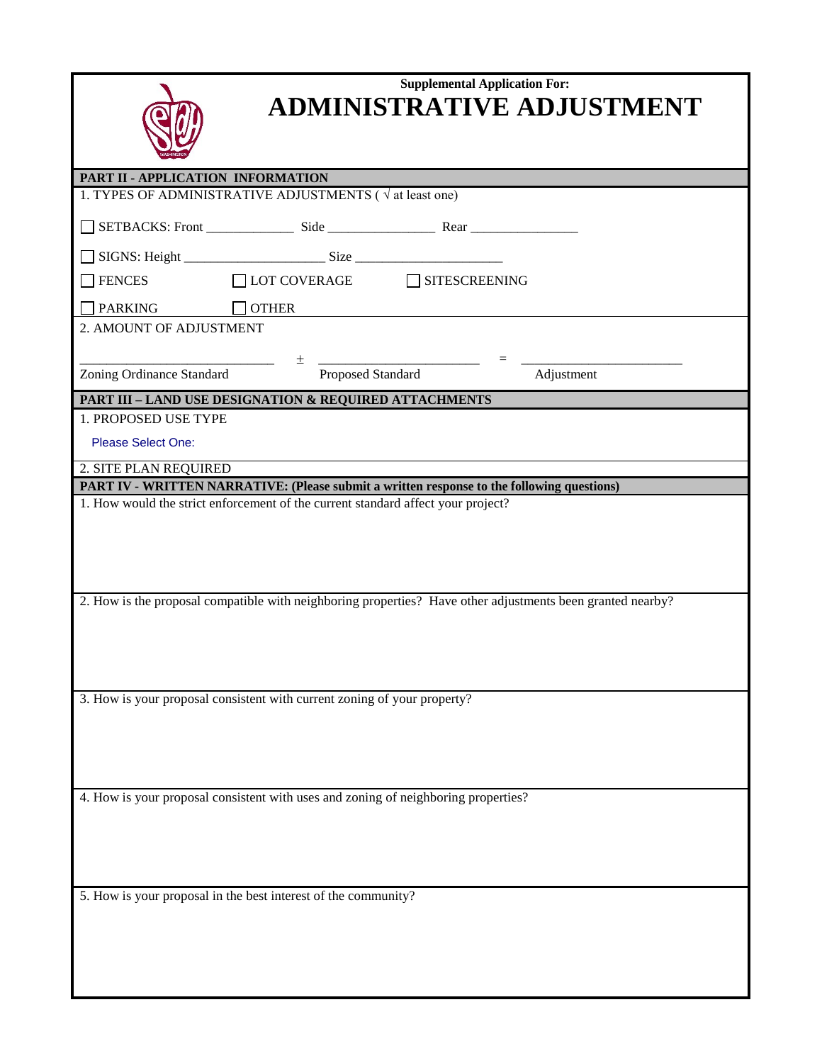| <b>WASHINGTON</b> |
|-------------------|

## **Supplemental Application For: ADMINISTRATIVE ADJUSTMENT**

| PART II - APPLICATION INFORMATION |                                                                                                            |            |
|-----------------------------------|------------------------------------------------------------------------------------------------------------|------------|
|                                   | 1. TYPES OF ADMINISTRATIVE ADJUSTMENTS ( $\sqrt{at}$ least one)                                            |            |
|                                   |                                                                                                            |            |
|                                   |                                                                                                            |            |
| <b>FENCES</b>                     | □LOT COVERAGE □ SITESCREENING                                                                              |            |
| <b>PARKING</b>                    | $\Box$ OTHER                                                                                               |            |
| 2. AMOUNT OF ADJUSTMENT           |                                                                                                            |            |
|                                   | 土                                                                                                          |            |
| <b>Zoning Ordinance Standard</b>  | Proposed Standard                                                                                          | Adjustment |
|                                   | PART III - LAND USE DESIGNATION & REQUIRED ATTACHMENTS                                                     |            |
| 1. PROPOSED USE TYPE              |                                                                                                            |            |
| <b>Please Select One:</b>         |                                                                                                            |            |
| 2. SITE PLAN REQUIRED             |                                                                                                            |            |
|                                   | PART IV - WRITTEN NARRATIVE: (Please submit a written response to the following questions)                 |            |
|                                   | 1. How would the strict enforcement of the current standard affect your project?                           |            |
|                                   |                                                                                                            |            |
|                                   |                                                                                                            |            |
|                                   |                                                                                                            |            |
|                                   |                                                                                                            |            |
|                                   | 2. How is the proposal compatible with neighboring properties? Have other adjustments been granted nearby? |            |
|                                   |                                                                                                            |            |
|                                   |                                                                                                            |            |
|                                   |                                                                                                            |            |
|                                   |                                                                                                            |            |
|                                   | 3. How is your proposal consistent with current zoning of your property?                                   |            |
|                                   |                                                                                                            |            |
|                                   |                                                                                                            |            |
|                                   |                                                                                                            |            |
|                                   |                                                                                                            |            |
|                                   | 4. How is your proposal consistent with uses and zoning of neighboring properties?                         |            |
|                                   |                                                                                                            |            |
|                                   |                                                                                                            |            |
|                                   |                                                                                                            |            |
|                                   |                                                                                                            |            |
|                                   | 5. How is your proposal in the best interest of the community?                                             |            |
|                                   |                                                                                                            |            |
|                                   |                                                                                                            |            |
|                                   |                                                                                                            |            |
|                                   |                                                                                                            |            |